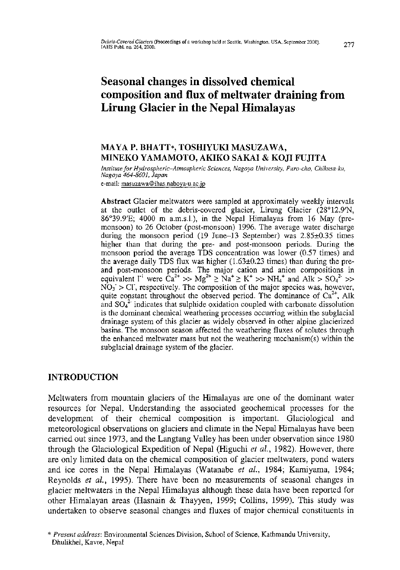# **Seasonal changes in dissolved chemical composition and flux of meltwater draining from Lirung Glacier in the Nepal Himalayas**

## **MAYA P. BHATT\*, TOSHIYUKI MASUZAWA, MINEKO YAMAMOTO, AKIKO SAKAI & KOJI FUJITA**

*Institute for Hydrospheric-Atmospheric Sciences, Nagoya University, Furo-cho, Chikusa-ku, Nagoya 464-8601, Japan* 

e-mail: [masuzawa@ihas.nahoya-u.ac.jp](mailto:masuzawa@ihas.nahoya-u.ac.jp)

Abstract Glacier meltwaters were sampled at approximately weekly intervals at the outlet of the debris-covered glacier, Lirung Glacier (28°12.9'N, 86°39.9**'E;** 4000 m a.m.s.l.), in the Nepal Himalayas from 16 May (premonsoon) to 26 October (post-monsoon) 1996. The average water discharge during the monsoon period (19 June-13 September) was  $2.85\pm0.35$  times higher than that during the pre- and post-monsoon periods. During the monsoon period the average TDS concentration was lower (0.57 times) and the average daily TDS flux was higher (1.63±0.23 times) than during the preand post-monsoon periods. The major cation and anion compositions in equivalent  $\Gamma^1$  were  $\hat{C}a^{2+} >> Mg^{2+} \ge Na^+ \ge K^+ >> NH_4^+$  and  $Alk > SO_4^2 >>$  $NO_3 > Cl$ , respectively. The composition of the major species was, however, quite constant throughout the observed period. The dominance of  $Ca^{2+}$ , Alk and  $SO_4^2$  indicates that sulphide oxidation coupled with carbonate dissolution is the dominant chemical weathering processes occurring within the subglacial drainage system of this glacier as widely observed in other alpine glacierized basins. The monsoon season affected the weathering fluxes of solutes through the enhanced meltwater mass but not the weathering mechanism(s) within the subglacial drainage system of the glacier.

## **INTRODUCTION**

Meltwaters from mountain glaciers of the Himalayas are one of the dominant water resources for Nepal. Understanding the associated geochemical processes for the development of their chemical composition is important. Glaciological and meteorological observations on glaciers and climate in the Nepal Himalayas have been carried out since 1973, and the Langtang Valley has been under observation since 1980 through the Glaciological Expedition of Nepal (Higuchi *et al,* 1982). However, there are only limited data on the chemical composition of glacier meltwaters, pond waters and ice cores in the Nepal Himalayas (Watanabe *et al,* 1984; Kamiyama, 1984; Reynolds *et al,* 1995). There have been no measurements of seasonal changes in glacier meltwaters in the Nepal Himalayas although these data have been reported for other Himalayan areas (Hasnain & Thayyen, 1999; Collins, 1999). This study was undertaken to observe seasonal changes and fluxes of major chemical constituents in

*<sup>\*</sup> Present address:* Environmenta l Sciences Division, School of Science, Kathmandu University, Dhulikhel, Kavre, Nepal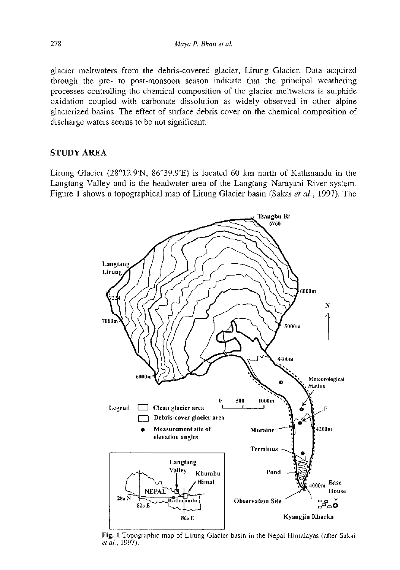glacier meltwaters from the debris-covered glacier, Lirung Glacier. Data acquired through the pre- to post-monsoon season indicate that the principal weathering processes controlling the chemical composition of the glacier meltwaters is sulphide oxidation coupled with carbonate dissolution as widely observed in other alpine glacierized basins. The effect of surface debris cover on the chemical composition of discharge waters seems to be not significant.

### STUDY AREA

Lirung Glacier (28°12.9'N, 86°39.9'E) is located 60 km north of Kathmandu in the Langtang Valley and is the headwater area of the Langtang-Narayani River system. Figure 1 shows a topographical map of Lirung Glacier basin (Sakai *et al,* 1997). The



Fig. 1 Topographic map of Lirung Glacier basin in the Nepal Himalayas (after Sakai *etal,* 1997).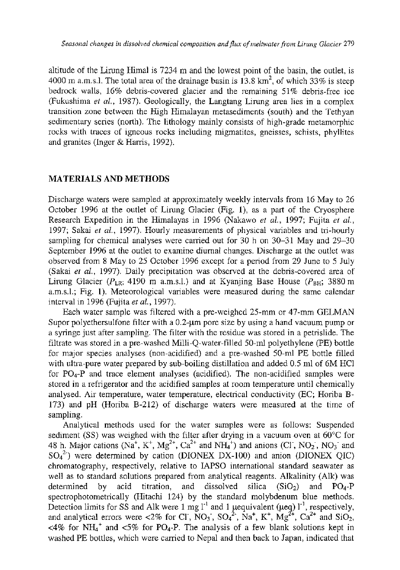altitude of the Lirung Himal is 7234 m and the lowest point of the basin, the outlet, is 4000 m a.m.s.l. The total area of the drainage basin is 13.8  $km^2$ , of which 33% is steep bedrock walls, 16% debris-covered glacier and the remaining 51% debris-free ice (Fukushima *et al,* 1987). Geologically, the Langtang Lirung area lies in a complex transition zone between the High Himalayan metasediments (south) and the Tethyan sedimentary series (north). The lithology mainly consists of high-grade metamorphic rocks with traces of igneous rocks including migmatites, gneisses, schists, phyllites and granites (Inger & Harris, 1992).

#### MATERIALS AND METHODS

Discharge waters were sampled at approximately weekly intervals from 16 May to 26 October 1996 at the outlet of Lirung Glacier (Fig. 1), as a part of the Cryosphere Research Expedition in the Himalayas in 1996 (Nakawo *et al,* 1997; Fujita *et al,*  1997; Sakai *et al,* 1997). Hourly measurements of physical variables and tri-hourly sampling for chemical analyses were carried out for 30 h on 30-31 May and 29-30 September 1996 at the outlet to examine diurnal changes. Discharge at the outlet was observed from 8 May to 25 October 1996 except for a period from 29 June to 5 July (Sakai *et al,* 1997). Daily precipitation was observed at the debris-covered area of Lirung Glacier ( $P_{LR}$ ; 4190 m a.m.s.l.) and at Kyanjing Base House ( $P_{RH}$ ; 3880 m a.m.s.l.; Fig. 1). Meteorological variables were measured during the same calendar interval in 1996 (Fujita *et al,* 1997).

Each water sample was filtered with a pre-weighed 25-mm or 47-mm GELMAN Supor polyethersulfone filter with a  $0.2$ - $\mu$ m pore size by using a hand vacuum pump or a syringe just after sampling. The filter with the residue was stored in a petrislide. The filtrate was stored in a pre-washed Milli-Q-water-filled 50-ml polyethylene (PE) bottle for major species analyses (non-acidified) and a pre-washed 50-ml PE bottle filled with ultra-pure water prepared by sub-boiling distillation and added 0.5 ml of 6M HC1 for PO4-P and trace element analyses (acidified). The non-acidified samples were stored in a refrigerator and the acidified samples at room temperature until chemically analysed. Air temperature, water temperature, electrical conductivity (EC; Horiba B-173) and pH (Horiba B-212) of discharge waters were measured at the time of sampling.

Analytical methods used for the water samples were as follows: Suspended sediment (SS) was weighed with the filter after drying in a vacuum oven at 60°C for 48 h. Major cations (Na<sup>+</sup>, K<sup>+</sup>, Mg<sup>2+</sup>, Ca<sup>2+</sup> and NH<sub>4</sub><sup>+</sup>) and anions (Cl<sup>-</sup>, NO<sub>2</sub><sup>-</sup>, NO<sub>3</sub><sup>-</sup> and  $SO_4$ <sup>2</sup>) were determined by cation (DIONEX DX-100) and anion (DIONEX QIC) chromatography, respectively, relative to IAPSO international standard seawater as well as to standard solutions prepared from analytical reagents. Alkalinity (Alk) was determined by acid titration, and dissolved silica  $(SiO<sub>2</sub>)$  and  $PO<sub>4</sub>-P$ spectrophotometrically (Hitachi 124) by the standard molybdenum blue methods. Detection limits for SS and Alk were 1 mg  $l^{-1}$  and 1 µequivalent (µeq)  $l^{-1}$ , respectively, and analytical errors were  $\langle 2\%$  for CI, NO<sub>3</sub>, SO<sub>4</sub><sup>2</sup>, Na<sup>+</sup>, K<sup>+</sup>, Mg<sup>2+</sup>, Ca<sup>2+</sup> and SiO<sub>2</sub>,  $\langle 4\%$  for NH<sub>4</sub><sup>+</sup> and  $\langle 5\%$  for PO<sub>4</sub>-P. The analysis of a few blank solutions kept in washed PE bottles, which were carried to Nepal and then back to Japan, indicated that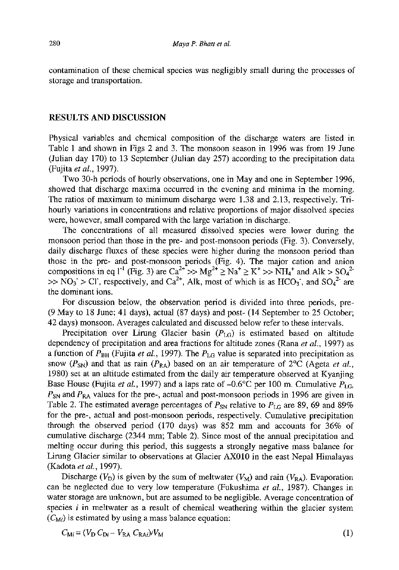contamination of these chemical species was negligibly small during the processes of storage and transportation.

#### RESULTS AND DISCUSSION

Physical variables and chemical composition of the discharge waters are listed in Table 1 and shown in Figs 2 and 3. The monsoon season in 1996 was from 19 June (Julian day 170) to 13 September (Julian day 257) according to the precipitation data (Fujita *et al,* 1997).

Two 30-h periods of hourly observations, one in May and one in September 1996, showed that discharge maxima occurred in the evening and minima in the morning. The ratios of maximum to minimum discharge were 1.38 and 2.13, respectively. Trihourly variations in concentrations and relative proportions of major dissolved species were, however, small compared with the large variation in discharge.

The concentrations of all measured dissolved species were lower during the monsoon period than those in the pre- and post-monsoon periods (Fig. 3). Conversely, daily discharge fluxes of these species were higher during the monsoon period than those in the pre- and post-monsoon periods (Fig. 4). The major cation and anion compositions in eq  $l^1$  (Fig. 3) are  $Ca^{2+} >> Mg^{2+} \geq Na^+ \geq K^+ >> NH_4^+$  and Alk  $> SO_4^2$ .  $>> NO_3 > Cl$ , respectively, and  $Ca^{2+}$ , Alk, most of which is as  $HCO_3$ , and  $SO_4^{2-}$  are the dominant ions.

For discussion below, the observation period is divided into three periods, pre- (9 May to 18 June; 41 days), actual (87 days) and post- (14 September to 25 October; 42 days) monsoon. Averages calculated and discussed below refer to these intervals.

Precipitation over Lirung Glacier basin *(PLG)* is estimated based on altitude dependency of precipitation and area fractions for altitude zones (Rana *et al,* 1997) as a function of  $P_{BH}$  (Fujita *et al.*, 1997). The  $P_{LG}$  value is separated into precipitation as snow  $(P_{SN})$  and that as rain  $(P_{RA})$  based on an air temperature of  $2^{\circ}C$  (Ageta *et al.*, 1980) set at an altitude estimated from the daily air temperature observed at Kyanjing Base House (Fujita *et al.*, 1997) and a laps rate of  $-0.6^{\circ}$ C per 100 m. Cumulative  $P_{\text{LG}_b}$  $P_{\rm SN}$  and  $P_{\rm RA}$  values for the pre-, actual and post-monsoon periods in 1996 are given in Table 2. The estimated average percentages of  $P_{SN}$  relative to  $P_{LG}$  are 89, 69 and 89% for the pre-, actual and post-monsoon periods, respectively. Cumulative precipitation through the observed period (170 days) was 852 mm and accounts for 36% of cumulative discharge (2344 mm; Table 2). Since most of the annual precipitation and melting occur during this period, this suggests a strongly negative mass balance for Lirung Glacier similar to observations at Glacier AX010 in the east Nepal Himalayas (Kadota *etal,* 1997).

Discharge ( $V_D$ ) is given by the sum of meltwater ( $V_M$ ) and rain ( $V_{RA}$ ). Evaporation can be neglected due to very low temperature (Fukushima *et al,* 1987). Changes in water storage are unknown, but are assumed to be negligible. Average concentration of species *i* in meltwater as a result of chemical weathering within the glacier system  $(C_M)$  is estimated by using a mass balance equation:

$$
C_{\text{M}i} = (V_{\text{D}} C_{\text{D}i} - V_{\text{RA}} C_{\text{RA}i})/V_{\text{M}}
$$
\n
$$
\tag{1}
$$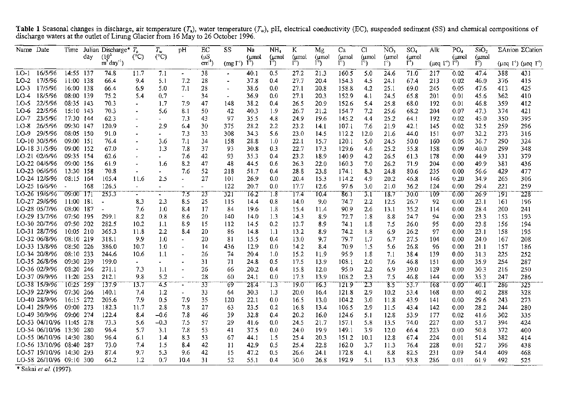| Name Date |                          | Time                  | day | Julian Discharge* T.<br>$(10^3)$ | (°C)                     | $T_{w}$<br>(C) | pH                       | EC<br>$(\mu S)$ | SS.                   | Na<br>(umol | NH <sub>a</sub><br>(umol | K<br>(umol | Mg<br>(µmol | Ca<br>(umol | CI<br>(µmol      | NO.<br>(umol            | SO <sub>4</sub><br>$(\mu$ mol | PO <sub>4</sub><br>Alk<br>(umol         |       | SiO <sub>2</sub><br>(µmol | ΣAnion ΣCation |                                             |
|-----------|--------------------------|-----------------------|-----|----------------------------------|--------------------------|----------------|--------------------------|-----------------|-----------------------|-------------|--------------------------|------------|-------------|-------------|------------------|-------------------------|-------------------------------|-----------------------------------------|-------|---------------------------|----------------|---------------------------------------------|
|           |                          |                       |     | $m$ day <sup>1</sup> )           |                          |                |                          | cm <sup>1</sup> | (mg1)                 | $1^{-1}$    | $\Gamma$ )               | $1^4$      | $\Gamma$    | $1^{4}$     | $1^{4}$          | $\Gamma$ <sup>1</sup> ) | ٣,                            | $(\mu$ eq $\lceil \cdot \rceil) \rceil$ |       | $l^{\prime}$ )            |                | $(\mu$ eq $\Gamma'$ ) $(\mu$ eq $\Gamma'$ ) |
| $LO-1$    | 16/5/96                  | 14:55 137             |     | 74.8                             | 11.7                     | 7.1            | $\sim$                   | 38              |                       | 40.1        | 0.5                      | 27.2       | 21.3        | 160.5       | 5.0              | 24.6                    | 71.0                          | 217                                     | 0.02  | 47.4                      | 388            | 431                                         |
| $LO-2$    | 17/5/96                  | 11:00 138             |     | 66.4                             | 9.4                      | 5.1            | 7.2                      | 28              | $\blacksquare$        | 37.8        | 0.4                      | 27.7       | 20.4        | 154.3       | 4.5              | 24.1                    | 67.4                          | 213                                     | 0.02  | 46.0                      | 376            | 415                                         |
| LO-3      | 17/5/96                  | 16:00                 | 138 | 66.4                             | 6.9                      | 5.0            | 7.1                      | 28              | $\tilde{\phantom{a}}$ | 38.6        | 0 <sub>0</sub>           | 27.1       | 20.8        | 158.8       | 4.2              | 25.1                    | 69.0                          | 245                                     | 0.05  | 47.6                      | 413            | 425                                         |
| LO-4      | 18/5/96                  | 08:00 139             |     | 75.2                             | 5.4                      | 0.7            | $\sim$                   | 34              | $\sim$                | 36.9        | 00                       | 27.1       | 20.3        | 152.9       | 4.1              | 24.5                    | 65.8                          | 201                                     | 0.01  | 45.6                      | 362            | 410                                         |
| $LO-5$    | 22/5/96                  | 08:35 143             |     | 70.3                             | $\overline{\phantom{0}}$ | 1.7            | 7.9                      | 47              | 148                   | 38.2        | 04                       | 26.5       | 20.9        | 152.6       | 5.4              | 25.8                    | 68.0                          | 192                                     | 0.01  | 46.8                      | 359            | 412                                         |
| LO-6      | 22/5/96                  | 15:10 143             |     | 70.3                             |                          | 5.6            | 8.1                      | 50              | 42                    | 40.3        | 1.9                      | 26.7       | 21.2        | 154.7       | 7.2              | 25.6                    | 68.2                          | 204                                     | 0.07  | 47.3                      | 374            | 421                                         |
| $LO-7$    | 23/5/96                  | 17:30 144             |     | 62.3                             |                          | ٠              | 7.3                      | 43              | 97                    | 35.5        | 4.8                      | 24.9       | 19.6        | 145.2       | 4.4              | 25.2                    | 64.1                          | 192                                     | 0.02  | 45.0                      | 350            | 395                                         |
| LO-8      | 26/5/96                  | 09:30 147             |     | 120.9                            |                          | 2.9            | 6.4                      | 30              | 375                   | 28.2        | 2.2                      | 23.2       | 14.1        | 107. l      | 7.6              | 21.9                    | 42.1                          | 145                                     | 0.02  | 32.5                      | 259            | 296                                         |
| LO-9      | 29/5/96                  | 08:05 150             |     | 91.0                             |                          | $\blacksquare$ | 7.3                      | 33              | 308                   | 34.3        | 5.6                      | 23.0       | 14.5        | 112.2       | 12.0             | 21.6                    | 44.0                          | 151                                     | 0.07  | 32.2                      | 273            | 316                                         |
|           | LO-10 30/5/96            | 09:00 151             |     | 76.4                             |                          | 3.6            | 7.1                      | 34              | 158                   | 28.8        | 1.0                      | 22.1       | 15.7        | 1201        | 5.0              | 24.5                    | 50.0                          | 160                                     | 0.05  | 36.7                      | 290            | 324                                         |
|           | LO-18 31/5/96            | 09:00 152             |     | 67.0                             |                          | 1.3            | 7.8                      | 37              | 93                    | 30.8        | 0.3                      | 22.7       | 17.3        | 129.6       | 4.6              | 25.2                    | 55.8                          | 158                                     | 0.09  | 40.0                      | 299            | 348                                         |
|           | LO-21 02/6/96            | 09:35 154             |     | 62.6                             |                          |                | 7.6                      | 42              | 93                    | 35.3        | 0.4                      | 23.2       | 18.9        | 140.9       | 4.2              | 26.5                    | 61.3                          | 178                                     | 0.00  | 44.9                      | 331            | 379                                         |
|           | LO-22 04/6/96            | 09:00 156             |     | 61.9                             |                          | 1.6            | 8.2                      | 47              | 48                    | 44.5        | 0.6                      | 26.3       | 22.0        | 160.3       | 7.0              | 26.2                    | 71.9                          | 204                                     | 0.00  | 49.9                      | 381            | 436                                         |
|           | LO-23 06/6/96            | 13:30 158             |     | 70.8                             |                          |                | 7.6                      | 52              | 218                   | 51.7        | 04                       | 28.8       | 23.8        | 174.1       | 8.3              | 24.8                    | 80.6                          | 235                                     | 0.00  | 56.6                      | 429            | 477                                         |
|           | LO-24 12/6/96            | 08:15 164             |     | 105.4                            | 11.6                     | 2.5            |                          | 27              | 101                   | 26.9        | 0.0                      | 20.4       | 15.3        | 114.2       | 4.9              | 20.2                    | 46.8                          | 146                                     | 0.20  | 34.9                      | 265            | 306                                         |
|           | LO-25 16/6/96            | $\tilde{\phantom{a}}$ | 168 | 126.5                            | $\sim$                   |                |                          |                 | 122                   | 20.7        | 0.0                      | 17.7       | 12.6        | 97.6        | 3.0              | 21.0                    | 36.2                          | 124                                     | 0.00  | 29.4                      | 221            | 259                                         |
|           | LO-26 19/6/96            | 09:00 171             |     | 253.3                            | $\sim$                   | $\blacksquare$ | 75                       | 23              | 321                   | 76.2        | $\overline{18}$          | 17.4       | 10.4        | 736 T       | $\overline{3.1}$ | 18.7                    | 30.0                          | 109                                     | 0.00  | 26.9                      | 191            | 228                                         |
|           | LO-27 29/6/96            | 11:00 181             |     | $\overline{a}$                   | 8.3                      | 2.3            | 8.5                      | 25              | 115                   | 14.4        | 0.8                      | 14.0       | 9.0         | 74 7        | 2.2              | 12.5                    | 26.7                          | 92                                      | 0.00  | 23.1                      | 161            | 196                                         |
|           | LO-28 05/7/96            | 08:00                 | 187 | $\overline{\phantom{a}}$         | 7.6                      | 1.0            | 8.4                      | 17              | 84                    | 19.6        | 1.8                      | 15.4       | 11.4        | 90.9        | 2.6              | 13.1                    | 35.2                          | 114                                     | 0.00  | 28.4                      | 200            | 241                                         |
|           | LO-29 13/7/96            | 07:50 195             |     | 299.1                            | 8.2                      | 0.8            | 8.6                      | 20              | 140                   | 14.0        | 1.3                      | 14.3       | 8.9         | 72.7        | 1.8              | 8.8                     | 24.7                          | 94                                      | 0.00  | 23.3                      | 153            | 193                                         |
|           | LO-30 20/7/96            | 07:50                 | 202 | 282.5                            | 10.2                     | 1.1            | 8.9                      | 15              | 112                   | 14.5        | 0.2                      | 13.7       | 8.9         | 74 1        | 1.8              | 7.5                     | 26.0                          | 95                                      | 0.00  | 23.8                      | 156            | 194                                         |
|           | LO-31 28/7/96            | 10:05 210             |     | 365.3                            | 11.8                     | 2.2            | 8.4                      | 20              | 86                    | 14.8        | 1.1                      | 13.2       | 8.9         | 74.2        | 1.8              | 6.9                     | 26.2                          | 97                                      | 0.00  | 23.1                      | 158            | 195                                         |
|           | LO-32 06/8/96            | 08:10 219             |     | 318.1                            | 9.9                      | 1.0            |                          | 20              | 81                    | 15.5        | 0.4                      | 13.0       | 9.7         | 79.7        | 1.7              | 6.7                     | 27.5                          | 104                                     | 0.00  | 24.0                      | 167            | 208                                         |
|           | LO-33 13/8/96            | 08:50 226             |     | 386.0                            | 10.7                     | 1.0            |                          | 14              | 436                   | 12.9        | 00                       | 14.2       | 8.4         | 70.9        | 1.5              | 5.6                     | 26.8                          | 96                                      | 0.00  | 21.1                      | 157            | 186                                         |
|           | LO-34 20/8/96            | 08:10 233             |     | 244.6                            | 10.6                     | 1.1            | $\overline{\phantom{a}}$ | 26              | 74                    | 20.4        | 10                       | 15.2       | 11.9        | 95.9        | 1.8              | 7.1                     | 38.4                          | 139                                     | 0.00  | 31.3                      | 225            | 252                                         |
|           | LO-35 26/8/96            | 09:30 239             |     | 199.0                            |                          |                |                          | 31              | 71                    | 24.8        | 0.5                      | 17.5       | 13.9        | 108.1       | 2.0              | 7.6                     | 46.8                          | 151                                     | 0.00  | 35.9                      | 254            | 287                                         |
|           | LO-36 02/9/96            | 08:20                 | 246 | 271.1                            | 7.3                      | 1.1            | $\overline{\phantom{0}}$ | 26              | 66                    | 20.2        | 0.4                      | 15.8       | 12.0        | 95.0        | 2.2              | 6.9                     | 39.0                          | 129                                     | 0.00  | 30.3                      | 216            | 250                                         |
|           | LO-37 09/9/96            | 11:20 253             |     | 212.1                            | 9.8                      | 5.2            |                          | 28              | 60                    | 24.1        | 0.0                      | 17.3       | 13.9        | 108.2       | 2.3              | 7.5                     | 46.8                          | 144                                     | 0.00  | 35.3                      | 247            | 286                                         |
|           | LO-38 15/9/96            | 10:25 259             |     | 137.9                            | 13.7                     | 4,5            | $\blacksquare$           | 33              | 69                    | 28.4        | $\overline{13}$          | T9.0       | 16.3        | 121.9       | 2.3              | -83                     | 53.7                          | 138                                     | -0.00 | <sup>40.1</sup>           | 286            | 325                                         |
|           | LO-39 22/9/96            | 07:30 266             |     | 140.1                            | 7.4                      | 1.2            |                          | 33              | 64                    | 30.3        | 1.3                      | 20.0       | 16.4        | 121.8       | 2.9              | 10.2                    | 53.4                          | 168                                     | 0.00  | 40.2                      | 288            | 328                                         |
|           | LO-40 28/9/96            | 16:15 272             |     | 205.6                            | 7.9                      | 0.5            | 7.9                      | 35              | 120                   | 22.1        | 0.0                      | 16.5       | 13.0        | 104.2       | 3.0              | 11.8                    | 43.9                          | 141                                     | 0.00  | 29.6                      | 243            | 273                                         |
|           | LO-41 29/9/96            | 09:00 273             |     | 182.3                            | 11.7                     | 2.8            | 7.8                      | 27              | 63                    | 23.5        | 0.2                      | 16.8       | 13.4        | 106.5       | 2.9              | 11.5                    | 43.4                          | 142                                     | 0.00  | 28.2                      | 244            | 280                                         |
|           | LO-49 30/9/96            | 09:00 274             |     | 122.4                            | 8.4                      | $-0.6$         | 7.8                      | 46              | 39                    | 32.8        | 04                       | 20.2       | 16.0        | 124.6       | 5.1              | 12.8                    | 53.9                          | 177                                     | 0.02  | 41.6                      | 302            | 335                                         |
|           | LO-53 04/10/96 11:45 278 |                       |     | 73.3                             | 5.6                      | $-0.3$         | 7.5                      | 57              | 29                    | 41.6        | 0.0                      | 24.5       | 21.7        | 157.1       | 5.8              | 13.5                    | 74.0                          | 227                                     | 0.00  | 53.7                      | 394            | 424                                         |
|           | LO-54 06/10/96 13:30 280 |                       |     | 96.4                             | 5.7                      | 3.1            | 7.8                      | 53              | 41                    | 37.5        | 0.0                      | 24.0       | 19.9        | 149.1       | 3.9              | 12.0                    | 66.4                          | 223                                     | 0.00  | 50.8                      | 372            | 400                                         |
|           | LO-55 06/10/96 14:30 280 |                       |     | 96.4                             | 6.1                      | 1.4            | 8.3                      | 53              | 67                    | 44.1        | 1.5                      | 25.4       | 20.3        | 151.2       | 10.1             | 12.8                    | 67.4                          | 224                                     | 0.01  | 51.4                      | 382            | 414                                         |
|           | LO-56 13/10/96 08:40 287 |                       |     | 73.0                             | 7.4                      | 1.5            | 8.4                      | 42              | 11                    | 42.9        | 0.5                      | 25.4       | 22.8        | 162.0       | 3.7              | 11.3                    | 76.4                          | 228                                     | 0.01  | 52.7                      | 396            | 438                                         |
|           | LO-57 19/10/96 14:30 293 |                       |     | 87.4                             | 9.7                      | 5.3            | 9.6                      | 42              | 15                    | 47.2        | 0.5                      | 26.6       | 24.1        | 172.8       | 4.1              | 8.8                     | 82.5                          | 231                                     | 0.09  | 54.4                      | 409            | 468                                         |
|           | LO-58 26/10/96 09:10 300 |                       |     | 64.2                             | 1.2                      | 0.7            | 10.4                     | 31              | 52                    | 55.1        | 0.4                      | 30.0       | 26.8        | 192.9       | 5.1              | 13.3                    | 93.8                          | 286                                     | 0.01  | 61.9                      | 492            | 525                                         |

Table 1 Seasonal changes in discharge, air temperature  $(T_a)$ , water temperature  $(T_w)$ , pH, electrical conductivity (EC), suspended sediment (SS) and chemical compositions of discharge waters at the outlet of Lirung Glacier from 16 May to 26 October 1996.

\* Sakai *et al.* (1997).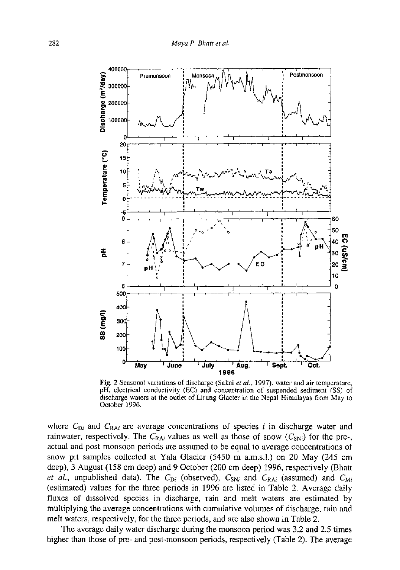

Fig. **2** Seasonal variations of discharge (Sakai *et al,* 1997), water and air temperature, p H, electrical conductivity (EC) and concentration of suspended sediment (SS) of discharge waters at the outlet of Lirung Glacier in the Nepal Himalayas from May to October 1996.

where  $C_{Di}$  and  $C_{RAi}$  are average concentrations of species i in discharge water and rainwater, respectively. The  $C_{\text{RA}i}$  values as well as those of snow  $(C_{\text{SN}i})$  for the pre-, actual and post-monsoon periods are assumed to be equal to average concentrations of snow pit samples collected at Yala Glacier (5450 m a.m.s.l.) on 20 May (245 cm deep), 3 August (158 cm deep) and 9 October (200 cm deep) 1996, respectively (Bhatt *et al.*, unpublished data). The  $C_{Di}$  (observed),  $C_{SNi}$  and  $C_{RAi}$  (assumed) and  $C_{Mi}$ (estimated) values for the three periods in 1996 are listed in Table 2. Average daily fluxes of dissolved species in discharge, rain and melt waters are estimated by multiplying the average concentrations with cumulative volumes of discharge, rain and melt waters, respectively, for the three periods, and are also shown in Table 2.

The average daily water discharge during the monsoon period was 3.2 and 2.5 times higher than those of pre- and post-monsoon periods, respectively (Table 2). The average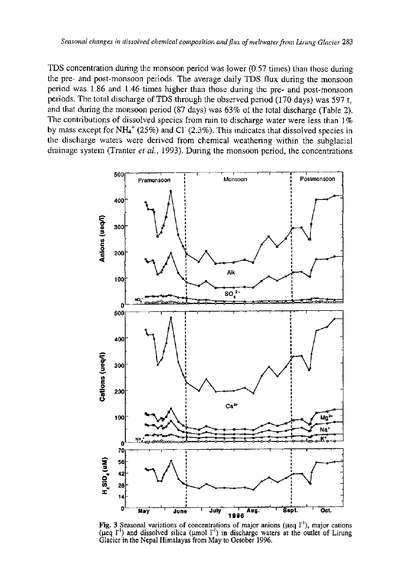TDS concentration during the monsoon period was lower (0.57 times) than those during the pre- and post-monsoon periods. The average daily TDS flux during the monsoon period was 1.86 and 1.46 times higher than those during the pre- and post-monsoon periods. The total discharge of TDS through the observed period (170 days) was 597 t, and that during the monsoon period (87 days) was 63% of the total discharge (Table 2). The contributions of dissolved species from rain to discharge water were less than  $1\%$ by mass except for NH<sub>4</sub><sup>+</sup> (25%) and Cl<sup>-</sup> (2.3%). This indicates that dissolved species in the discharge waters were derived from chemical weathering within the subglacial drainage system (Tranter *et al.,* 1993). During the monsoon period, the concentrations



Fig. 3 Seasonal variations of concentrations of major anions ( $\mu$ eq  $1^{-1}$ ), major cations ( $\mu$ eq  $\Gamma$ <sup>1</sup>) and dissolved silica ( $\mu$ mol  $\Gamma$ <sup>1</sup>) in discharge waters at the outlet of Lirung Glacier in the Nepal Himalayas from May to October 1996.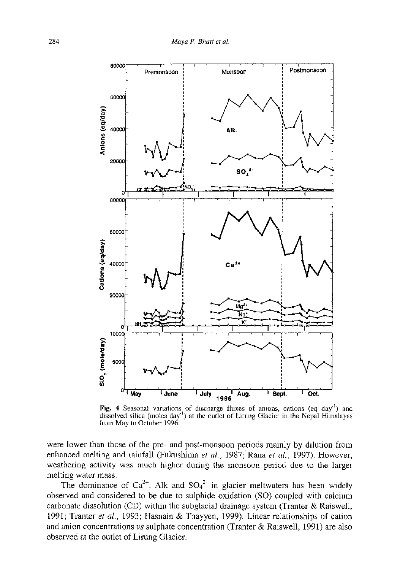

**Fig. 4** Seasonal variations of discharge fluxes of anions, cations (eq day") and dissolved silica (moles day'') at the outlet of Lirung Glacier in the Nepal Himalayas from May to October 1996.

were lower than those of the pre- and post-monsoon periods mainly by dilution from enhanced melting and rainfall (Fukushima *et al,* 1987; Rana *et al,* 1997). However, weathering activity was much higher during the monsoon period due to the larger melting water mass.

The dominance of  $Ca^{2+}$ , Alk and  $SO_4^2$  in glacier meltwaters has been widely observed and considered to be due to sulphide oxidation (SO) coupled with calcium carbonate dissolution (CD) within the subglacial drainage system (Tranter  $\&$  Raiswell, 1991; Tranter *et al,* 1993; Hasnain & Thayyen, 1999). Linear relationships of cation and anion concentrations *vs* sulphate concentration (Tranter & Raiswell, 1991) are also observed at the outlet of Lirung Glacier.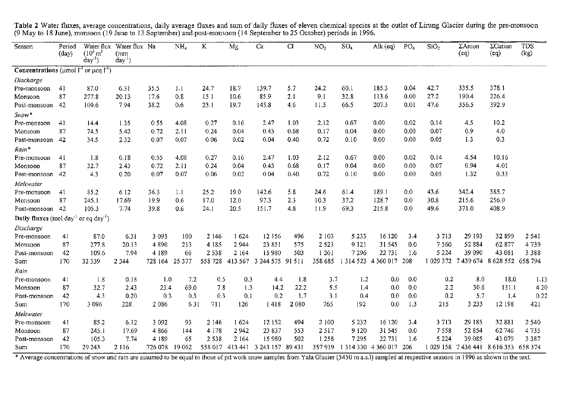| Season                                                                                      | Period         | Water flux                             | Water flux Na     |         | NH <sub>a</sub> | K       | Mg      | Ca               | <b>CI</b> | NO <sub>3</sub> | SO <sub>4</sub>            | Alk $(eq)$ | PO <sub>a</sub> | SiO <sub>2</sub> | ΣAnion              | $\Sigma$ Cation   | TDS     |
|---------------------------------------------------------------------------------------------|----------------|----------------------------------------|-------------------|---------|-----------------|---------|---------|------------------|-----------|-----------------|----------------------------|------------|-----------------|------------------|---------------------|-------------------|---------|
|                                                                                             | $\text{(day)}$ | $(10^3 \text{ m}^3)$<br>$\text{day}^1$ | (mm<br>$day^{-1}$ |         |                 |         |         |                  |           |                 |                            |            |                 |                  | (eq)                | (cq)              | (kg)    |
| <b>Concentrations</b> ( $\mu$ mol $\Gamma$ <sup>1</sup> or $\mu$ eq $\Gamma$ <sup>1</sup> ) |                |                                        |                   |         |                 |         |         |                  |           |                 |                            |            |                 |                  |                     |                   |         |
| Discharge                                                                                   |                |                                        |                   |         |                 |         |         |                  |           |                 |                            |            |                 |                  |                     |                   |         |
| Pre-monsoon                                                                                 | 41             | 87.0                                   | 6.31              | 35.5    | 1.1             | 24.7    | 18.7    | 139.7            | 5.7       | 24.2            | 60 1                       | 185.3      | 0.04            | 42.7             | 335.5               | 378.1             |         |
| Monsoon                                                                                     | 87             | 277.8                                  | 20.13             | 17.6    | 0.8             | 15.1    | 10.6    | 85.9             | 2.1       | 9.1             | 32.8                       | 113.6      | 0.00            | 27.2             | 190.4               | 226.4             |         |
| Post-monsoon                                                                                | 42             | 109.6                                  | 7.94              | 38.2    | 0.6             | 23.1    | 197     | 145.8            | 4.6       | 11.5            | 66.5                       | 207.3      | 0.01            | 47.6             | 356.5               | 392.9             |         |
| $Show*$                                                                                     |                |                                        |                   |         |                 |         |         |                  |           |                 |                            |            |                 |                  |                     |                   |         |
| Pre-monsoon                                                                                 | 41             | 14.4                                   | 1.35              | 0.55    | 4.08            | 0.27    | 0.16    | 2.47             | 1.03      | 2.12            | 0.67                       | 0.00       | 0.02            | 0.14             | 4.5                 | 10.2              |         |
| Monsoon                                                                                     | 87             | 74.5                                   | 5.42              | 0.72    | 2.11            | 0.24    | 0.04    | 0.43             | 0.68      | 0.17            | 0.04                       | 0.00       | 0.00            | 0.07             | 0.9                 | 4.0               |         |
| Post-monsoon                                                                                | 42             | 34.5                                   | 2.32              | 0.07    | 0.07            | 0.06    | 0.02    | 0.04             | 0.40      | 0.72            | 0.10                       | 0.00       | 0.00            | 0.05             | 1.3                 | 0.3               |         |
| Rain*                                                                                       |                |                                        |                   |         |                 |         |         |                  |           |                 |                            |            |                 |                  |                     |                   |         |
| Pre-monsoon                                                                                 | 41             | 1.8                                    | 0.18              | 0.55    | 4.08            | 0.27    | 0.16    | 2.47             | 1.03      | 2.12            | 0.67                       | 0.00       | 0.02            | 0.14             | 4.54                | 10.16             |         |
| Monsoon                                                                                     | 87             | 32.7                                   | 2.43              | 0.72    | 2.11            | 0.24    | 0.04    | 0.43             | 0.68      | 0.17            | 0.04                       | 0.00       | 0.00            | 0.07             | 0.94                | 4.01              |         |
| Post-monsoon                                                                                | 42             | 4.3                                    | 0.20              | 0.07    | 0.07            | 0.06    | 0.02    | 0.04             | 0.40      | 0.72            | 0.10                       | 0.00       | 0.00            | 0.05             | 1.32                | 0.33              |         |
| Meltwater                                                                                   |                |                                        |                   |         |                 |         |         |                  |           |                 |                            |            |                 |                  |                     |                   |         |
| Pre-monsoon                                                                                 | 41             | 85.2                                   | 6.12              | 36.3    | 1.1             | 25.2    | 19.0    | 142.6            | 5.8       | 24.6            | 61.4                       | 189.1      | 0.0             | 43.6             | 342.4               | 385.7             |         |
| Monsoon                                                                                     | 87             | 245.1                                  | 17.69             | 19.9    | 0.6             | 17.0    | 12.0    | 97.3             | 2.3       | 10.3            | 37.2                       | 128.7      | 0.0             | 30.8             | 215.6               | 256.0             |         |
| Post-monsoon                                                                                | -42            | 105.3                                  | 7.74              | 39.8    | 0.6             | 24.1    | 20.5    | 151.7            | 4.8       | 11.9            | 69.3                       | 215.8      | 0.0             | 49.6             | 371.0               | 408.9             |         |
| <b>Daily fluxes</b> (mol day $\frac{1}{2}$ or eq day <sup>-1</sup> )                        |                |                                        |                   |         |                 |         |         |                  |           |                 |                            |            |                 |                  |                     |                   |         |
| Discharge                                                                                   |                |                                        |                   |         |                 |         |         |                  |           |                 |                            |            |                 |                  |                     |                   |         |
| Pre-monsoon                                                                                 | 41             | 87.0                                   | 631               | 3 0 9 3 | 100             | 2 14 6  | 1624    | 12 15 6          | 496       | 2 1 0 3         | 5 2 3 3                    | 16 120     | 3.4             | 3713             | 29 193              | 32 899            | 2 5 4 1 |
| Monsoon                                                                                     | 87             | 277.8                                  | 20.13             | 4890    | 213             | 4 1 8 5 | 2 9 4 4 | 23 851           | 575       | 2 5 2 3         | 9 1 2 1                    | 31 545     | 0.0             | 7560             | 52 884              | 62 877            | 4739    |
| Post-monsoon                                                                                | 42             | 109.6                                  | 7.94              | 4 1 8 9 | 66              | 2538    | 2 1 6 4 | 15980            | 503       | 1 2 6 1         | 7296                       | 22 731     | 1.6             | 5 2 2 4          | 39 090              | 43 081            | 3388    |
| Sum                                                                                         | 170            | 32 339                                 | 2 3 4 4           | 728 164 | 25 3 7 7        | 558728  | 413 567 | 3 244 575 91 511 |           | 358 685         | 1 3 1 4 5 23 4 3 6 0 0 1 7 |            | 208             | 1 029 372        | 7439674             | 8 628 552 658 794 |         |
| Rain                                                                                        |                |                                        |                   |         |                 |         |         |                  |           |                 |                            |            |                 |                  |                     |                   |         |
| Pre-monsoon                                                                                 | 41             | 1.8                                    | 0.18              | 1.0     | 7.2             | 0.5     | 0.3     | 4.4              | 1.8       | 3.7             | 1.2                        | 0.0        | 0.0             | 0.2              | 8.0                 | 18.0              | 1.13    |
| Monsoon                                                                                     | 87             | 32.7                                   | 2.43              | 23.4    | 69.0            | 7.8     | 1.3     | 14.2             | 22.2      | 5.5             | 1.4                        | 0.0        | 0.0             | 2.2              | 30.6                | 131.1             | 4.20    |
| Post-monsoon                                                                                | 42             | 4.3                                    | 0.20              | 0.3     | 0.3             | 0.3     | 0.1     | 0.2              | 1.7       | 3.1             | 0.4                        | 0.0        | 0.0             | 0.2              | 5.7                 | 1.4               | 0.22    |
| Sum                                                                                         | 170            | 3 0 9 6                                | 228               | 2086    | 631             | 711     | 126     | 1418             | 2080      | 765             | 192                        | 0.0        | 1.3             | 215              | 3 2 3 3             | 12198             | 421     |
| Meltwater                                                                                   |                |                                        |                   |         |                 |         |         |                  |           |                 |                            |            |                 |                  |                     |                   |         |
| Pre-monsoon                                                                                 | 41             | 85.2                                   | 6.12              | 3 0 9 2 | 93              | 2 146   | 1624    | 12 152           | 494       | 2 100           | 5 2 3 2                    | 16 120     | 3.4             | 3713             | 29 185              | 32881             | 2 5 4 0 |
| Monsoon                                                                                     | 87             | 245.1                                  | 17.69             | 4866    | 144             | 4 1 7 8 | 2942    | 23 837           | 553       | 2517            | 9 1 2 0                    | 31 545     | 0.0             | 7558             | 52854               | 62746             | 4735    |
| Post-monsoon                                                                                | 42             | 105.3                                  | 7.74              | 4 1 8 9 | 65              | 2 5 3 8 | 2 1 6 4 | 15 980           | 502       | 1258            | 7295                       | 22 731     | 1.6             | 5 2 2 4          | 39 085              | 43 079            | 3 3 8 7 |
| Sum                                                                                         | 170            | 29 243                                 | 2116              | 726 078 | 19 062          | 558 017 | 413441  | 3 243 157 89 431 |           | 357919          | 1 314 330 4 360 017        |            | -206            |                  | 1 029 158 7 436 441 | 8 616 353 658 374 |         |

Table 2 Water fluxes, average concentrations, daily average fluxes and sum of daily fluxes of eleven chemical species at the outlet of Lirung Glacier during the pre-monsoon (9 May to 18 June), monsoon (19 June to 13 September) and post-monsoon (14 September to 25 October) periods in 1996.

\* Average concentrations of snow and rain are assumed to be equal to those of pit work snow samples from Yala Glacier (5450 m a.s.l) sampled at respective seasons in 1996 as shown in the text.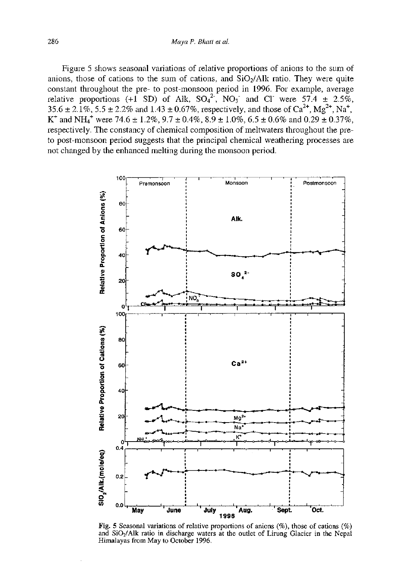Figure 5 shows seasonal variations of relative proportions of anions to the sum of anions, those of cations to the sum of cations, and  $SiO<sub>2</sub>/Alk$  ratio. They were quite constant throughout the pre- to post-monsoon period in 1996. For example, average relative proportions (+1 SD) of Alk,  $SO_4^{\text{-}}$ , NO<sub>3</sub> and Cl were 57.4  $\pm$  2.5%,  $35.6 \pm 2.1\%$ ,  $5.5 \pm 2.2\%$  and  $1.43 \pm 0.67\%$ , respectively, and those of Ca<sup>2+</sup>, Mg<sup>2+</sup>, Na<sup>+</sup>, K<sup>+</sup> and NH<sub>4</sub><sup>+</sup> were 74.6  $\pm$  1.2%, 9.7  $\pm$  0.4%, 8.9  $\pm$  1.0%, 6.5  $\pm$  0.6% and 0.29  $\pm$  0.37%, respectively. The constancy of chemical composition of meltwaters throughout the preto post-monsoon period suggests that the principal chemical weathering processes are not changed by the enhanced melting during the monsoon period.



Fig. **5** Seasonal variations of relative proportions of anions (%), those of cations (%) and  $SiO<sub>2</sub>/Alk$  ratio in discharge waters at the outlet of Lirung Glacier in the Nepal Himalayas from May to October 1996.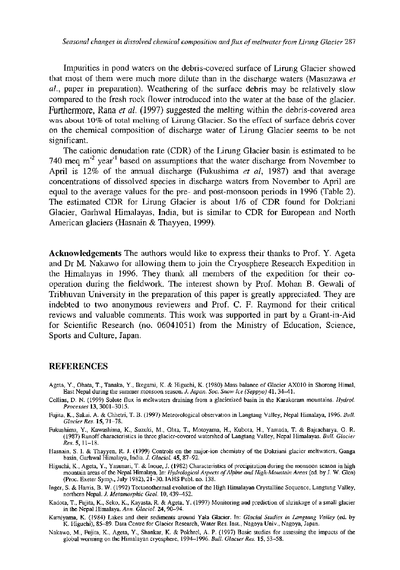*Seasonal changes in dissolved chemical composition and flux of meltwater from Lirung Glacier* 287

Impurities in pond waters on the debris-covered surface of Lirung Glacier showed that most of them were much more dilute than in the discharge waters (Masuzawa *et al.,* paper in preparation). Weathering of the surface debris may be relatively slow compared to the fresh rock flower introduced into the water at the base of the glacier. Furthermore, Rana *et al.* (1997) suggested the melting within the debris-covered area **w a s abou t 10 %** of **tota l meltin <sup>g</sup>** of Lirung **Glacier .** So the effect of surface debris cover on the chemical composition of discharge water of Lirung Glacier seems to be not significant.

The cationic denudation rate (CDR) of the Lirung Glacier basin is estimated to be 740 meq m<sup>-2</sup> year<sup>-1</sup> based on assumptions that the water discharge from November to April is 12% of the annual discharge (Fukushima *et al,* 1987) and that average concentrations of dissolved species in discharge waters from November to April are equal to the average values for the pre- and post-monsoon periods in 1996 (Table 2). The estimated CDR for Lirung Glacier is about 1/6 of CDR found for Dokriani Glacier, Garhwal Himalayas, India, but is similar to CDR for European and North American glaciers (Hasnain & Thayyen, 1999).

Acknowledgements The authors would like to express their thanks to Prof. Y. Ageta and Dr M. Nakawo for allowing them to join the Cryosphere Research Expedition in the Himalayas in 1996. They thank all members of the expedition for their cooperation during the fieldwork. The interest shown by Prof. Mohan B. Gewali of Tribhuvan University in the preparation of this paper is greatly appreciated. They are indebted to two anonymous reviewers and Prof. C. F. Raymond for their critical reviews and valuable comments. This work was supported in part by a Grant-in-Aid for Scientific Research (no. 06041051) from the Ministry of Education, Science, Sports and Culture, Japan.

#### **REFERENCES**

- Ageta, Y., Ohata, T., Tanaka, Y., Ikegami, K. & Higuchi, K. (1980) Mass balance of Glacier AX010 in Shorong Himal, East Nepal during the summer monsoon season. *J. Japan. Soc. Snow Ice (Seppyo)* **41,** 34-41.
- Collins, D. N. (1999) Solute flux in meltwaters draining from a glacierized basin in the Karakoram mountains. *Hydrol. Processes* **13,**3001-3015.
- Fujita, K., Sakai, A. & Chhetri, T. B. (1997) Meteorological observation in Langtang Valley, Nepal Himalaya, 1996. *Bull. Glacier Res.* **15,** 71-78.
- Fukushima, Y., Kawashima, K., Suzuki, M., Ohta, T., Motoyama, H., Kubota, H., Yamada, T. & Bajracharya, O. R. (1987) Runoff characteristics in three glacier-covered watershed of Langtang Valley, Nepal Himalayas. *Bull. Glacier Res.* **5,** U-18.
- Hasnain, S. I. & Thayyen, R. J. (1999) Controls on the major-ion chemistry of the Dokriani glacier meltwaters, Ganga basin, Garhwal Himalaya, India. *J. Glaciol.* **45,** 87-92.
- Higuchi, K., Ageta, Y., Yasunari, T. & Inoue, J. (1982) Characteristics of precipitation during the monsoon season in high mountain areas of the Nepal Himalaya. In: *Hydrological Aspects of Alpine and High-Mountain Areas* (ed. by J. W. Glen) (Proc. Exeter Symp., July 1982), 21-30. IAHS Publ. no. 138.
- Inger, S. & Harris, B. W. (1992) Tectonothermal evolution of the High Himalayan Crystalline Sequence, Langtang Valley, northern Nepal. J. Metamorphic Geol. 10, 439-452. northern Nepal. *J. Metamorphic Geol.* **10,**439^152.
- $K$ adota, T., Grad Himeleta, K., Fujita, R.  $\alpha$ . T. (1997), Monitoring and prediction of shrinkage of a small glacier in the Nepal Himalaya. *Ann. Glaciol.* **24,** 90-94.
- K. Higuchi), 85-89. Data Centre for Glacier Research, Water Res. Inst., Nagoya Univ., Nagoya, Japan.
- Nakawo, M., Fujita, K., Ageta, Y., Shankar, K. & Pokhrel, A. P. (1997) Basic studies for assessing the impacts of the Nakawo, M., Fujita, K., Ageta, Y., Shankar, K. & Pokhrel, A. P. (1997) Basic studies for assessing the impacts of the global worming on the Himalayan cryosphere, 1994-1996. *Bull. Glacier Res.* **15,** 53-58.